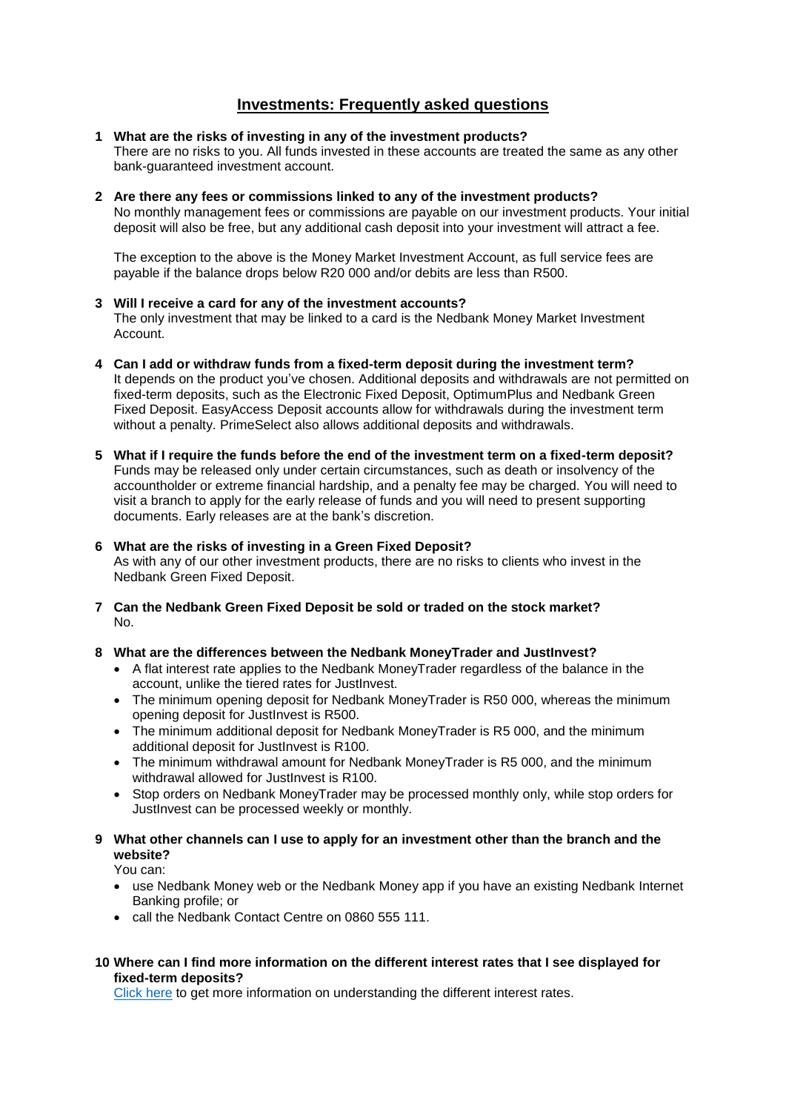## **Investments: Frequently asked questions**

- **1 What are the risks of investing in any of the investment products?**  There are no risks to you. All funds invested in these accounts are treated the same as any other bank-guaranteed investment account.
- **2 Are there any fees or commissions linked to any of the investment products?**  No monthly management fees or commissions are payable on our investment products. Your initial deposit will also be free, but any additional cash deposit into your investment will attract a fee.

The exception to the above is the Money Market Investment Account, as full service fees are payable if the balance drops below R20 000 and/or debits are less than R500.

- **3 Will I receive a card for any of the investment accounts?**  The only investment that may be linked to a card is the Nedbank Money Market Investment Account.
- **4 Can I add or withdraw funds from a fixed-term deposit during the investment term?**  It depends on the product you've chosen. Additional deposits and withdrawals are not permitted on fixed-term deposits, such as the Electronic Fixed Deposit, OptimumPlus and Nedbank Green Fixed Deposit. EasyAccess Deposit accounts allow for withdrawals during the investment term without a penalty. PrimeSelect also allows additional deposits and withdrawals.
- **5 What if I require the funds before the end of the investment term on a fixed-term deposit?**  Funds may be released only under certain circumstances, such as death or insolvency of the accountholder or extreme financial hardship, and a penalty fee may be charged. You will need to

visit a branch to apply for the early release of funds and you will need to present supporting documents. Early releases are at the bank's discretion.

#### **6 What are the risks of investing in a Green Fixed Deposit?**

As with any of our other investment products, there are no risks to clients who invest in the Nedbank Green Fixed Deposit.

**7 Can the Nedbank Green Fixed Deposit be sold or traded on the stock market?**  No.

#### **8 What are the differences between the Nedbank MoneyTrader and JustInvest?**

- A flat interest rate applies to the Nedbank MoneyTrader regardless of the balance in the account, unlike the tiered rates for JustInvest.
- The minimum opening deposit for Nedbank MoneyTrader is R50 000, whereas the minimum opening deposit for JustInvest is R500.
- The minimum additional deposit for Nedbank MoneyTrader is R5 000, and the minimum additional deposit for JustInvest is R100.
- The minimum withdrawal amount for Nedbank MoneyTrader is R5 000, and the minimum withdrawal allowed for JustInvest is R100.
- Stop orders on Nedbank MoneyTrader may be processed monthly only, while stop orders for JustInvest can be processed weekly or monthly.
- **9 What other channels can I use to apply for an investment other than the branch and the website?**

You can:

- use Nedbank Money web or the Nedbank Money app if you have an existing Nedbank Internet Banking profile; or
- call the Nedbank Contact Centre on 0860 555 111.
- **10 Where can I find more information on the different interest rates that I see displayed for fixed-term deposits?**

[Click here](https://www.nedbank.co.za/content/nedbank/desktop/gt/en/personal/interest-rates/account-interest-rates.html) to get more information on understanding the different interest rates.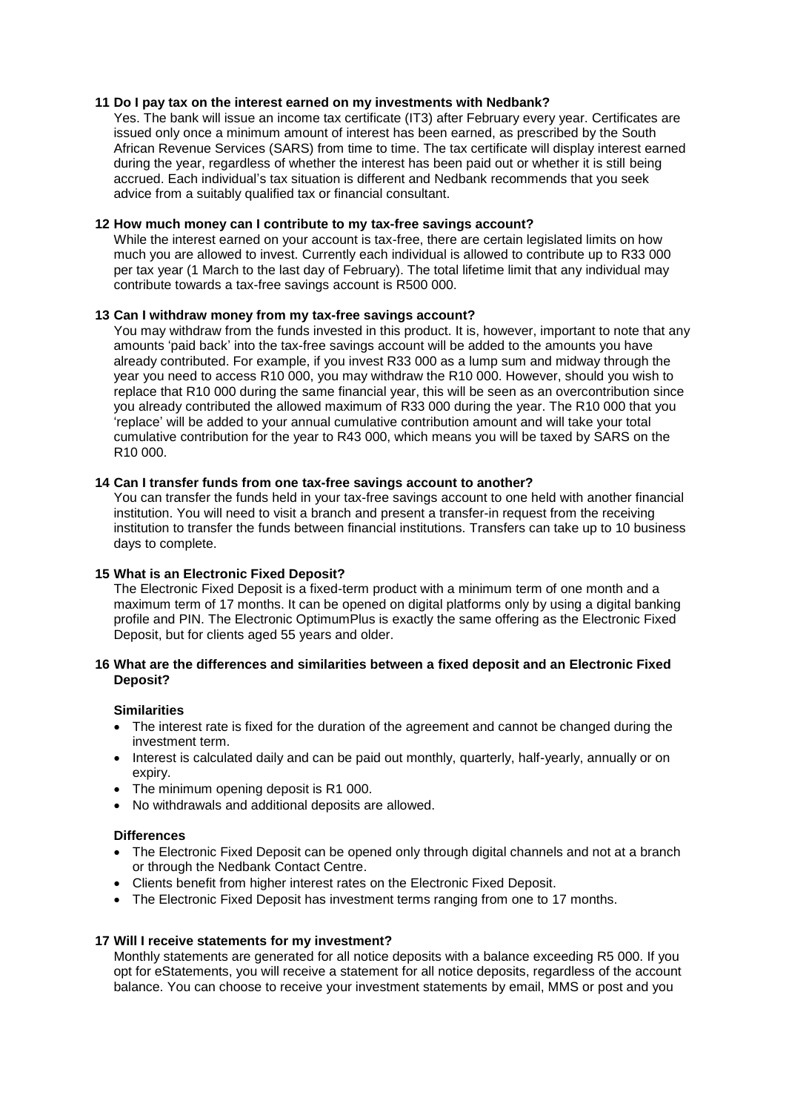#### **11 Do I pay tax on the interest earned on my investments with Nedbank?**

Yes. The bank will issue an income tax certificate (IT3) after February every year. Certificates are issued only once a minimum amount of interest has been earned, as prescribed by the South African Revenue Services (SARS) from time to time. The tax certificate will display interest earned during the year, regardless of whether the interest has been paid out or whether it is still being accrued. Each individual's tax situation is different and Nedbank recommends that you seek advice from a suitably qualified tax or financial consultant.

#### **12 How much money can I contribute to my tax-free savings account?**

While the interest earned on your account is tax-free, there are certain legislated limits on how much you are allowed to invest. Currently each individual is allowed to contribute up to R33 000 per tax year (1 March to the last day of February). The total lifetime limit that any individual may contribute towards a tax-free savings account is R500 000.

#### **13 Can I withdraw money from my tax-free savings account?**

You may withdraw from the funds invested in this product. It is, however, important to note that any amounts 'paid back' into the tax-free savings account will be added to the amounts you have already contributed. For example, if you invest R33 000 as a lump sum and midway through the year you need to access R10 000, you may withdraw the R10 000. However, should you wish to replace that R10 000 during the same financial year, this will be seen as an overcontribution since you already contributed the allowed maximum of R33 000 during the year. The R10 000 that you 'replace' will be added to your annual cumulative contribution amount and will take your total cumulative contribution for the year to R43 000, which means you will be taxed by SARS on the R10 000.

#### **14 Can I transfer funds from one tax-free savings account to another?**

You can transfer the funds held in your tax-free savings account to one held with another financial institution. You will need to visit a branch and present a transfer-in request from the receiving institution to transfer the funds between financial institutions. Transfers can take up to 10 business days to complete.

#### **15 What is an Electronic Fixed Deposit?**

The Electronic Fixed Deposit is a fixed-term product with a minimum term of one month and a maximum term of 17 months. It can be opened on digital platforms only by using a digital banking profile and PIN. The Electronic OptimumPlus is exactly the same offering as the Electronic Fixed Deposit, but for clients aged 55 years and older.

### **16 What are the differences and similarities between a fixed deposit and an Electronic Fixed Deposit?**

#### **Similarities**

- The interest rate is fixed for the duration of the agreement and cannot be changed during the investment term.
- Interest is calculated daily and can be paid out monthly, quarterly, half-yearly, annually or on expiry.
- The minimum opening deposit is R1 000.
- No withdrawals and additional deposits are allowed.

#### **Differences**

- The Electronic Fixed Deposit can be opened only through digital channels and not at a branch or through the Nedbank Contact Centre.
- Clients benefit from higher interest rates on the Electronic Fixed Deposit.
- The Electronic Fixed Deposit has investment terms ranging from one to 17 months.

#### **17 Will I receive statements for my investment?**

Monthly statements are generated for all notice deposits with a balance exceeding R5 000. If you opt for eStatements, you will receive a statement for all notice deposits, regardless of the account balance. You can choose to receive your investment statements by email, MMS or post and you